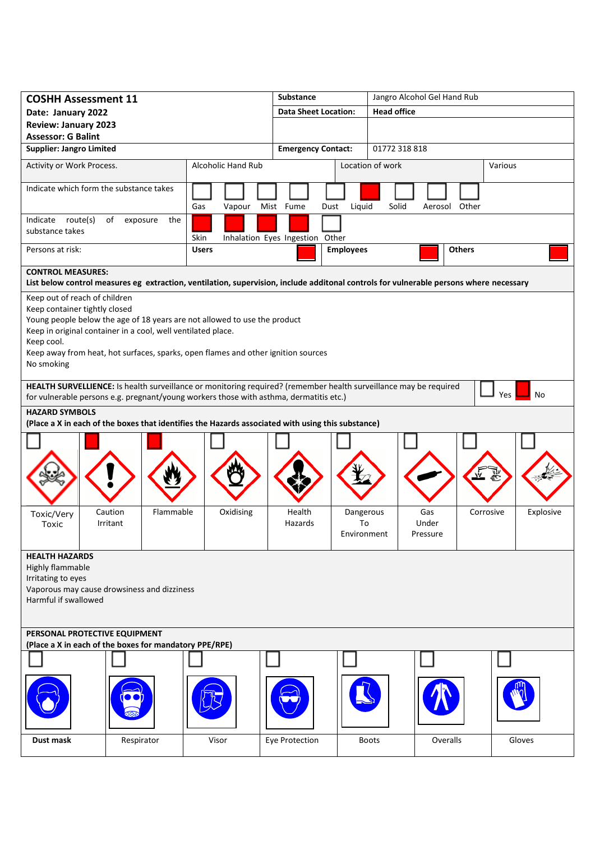| <b>COSHH Assessment 11</b>                                                                                                                                                                                               |                                                                                                                                                                                                                                |           |                    |           |                             | <b>Substance</b>                |      |                                | Jangro Alcohol Gel Hand Rub |  |                          |          |           |  |           |
|--------------------------------------------------------------------------------------------------------------------------------------------------------------------------------------------------------------------------|--------------------------------------------------------------------------------------------------------------------------------------------------------------------------------------------------------------------------------|-----------|--------------------|-----------|-----------------------------|---------------------------------|------|--------------------------------|-----------------------------|--|--------------------------|----------|-----------|--|-----------|
| Date: January 2022                                                                                                                                                                                                       |                                                                                                                                                                                                                                |           |                    |           | <b>Data Sheet Location:</b> |                                 |      | <b>Head office</b>             |                             |  |                          |          |           |  |           |
| <b>Review: January 2023</b><br><b>Assessor: G Balint</b>                                                                                                                                                                 |                                                                                                                                                                                                                                |           |                    |           |                             |                                 |      |                                |                             |  |                          |          |           |  |           |
| <b>Supplier: Jangro Limited</b>                                                                                                                                                                                          |                                                                                                                                                                                                                                |           |                    |           | <b>Emergency Contact:</b>   |                                 |      | 01772 318 818                  |                             |  |                          |          |           |  |           |
| Activity or Work Process.                                                                                                                                                                                                |                                                                                                                                                                                                                                |           | Alcoholic Hand Rub |           |                             |                                 |      |                                | Location of work            |  |                          |          | Various   |  |           |
| Indicate which form the substance takes                                                                                                                                                                                  |                                                                                                                                                                                                                                |           |                    |           |                             |                                 |      |                                |                             |  |                          |          |           |  |           |
|                                                                                                                                                                                                                          |                                                                                                                                                                                                                                |           | Gas                | Vapour    |                             | Mist Fume                       | Dust | Liquid                         | Solid                       |  | Aerosol Other            |          |           |  |           |
| Indicate route(s)<br>of<br>the<br>exposure<br>substance takes                                                                                                                                                            |                                                                                                                                                                                                                                |           | Skin               |           |                             | Inhalation Eyes Ingestion Other |      |                                |                             |  |                          |          |           |  |           |
| Persons at risk:                                                                                                                                                                                                         |                                                                                                                                                                                                                                |           | <b>Users</b>       |           |                             |                                 |      | <b>Employees</b>               |                             |  | <b>Others</b>            |          |           |  |           |
| <b>CONTROL MEASURES:</b>                                                                                                                                                                                                 |                                                                                                                                                                                                                                |           |                    |           |                             |                                 |      |                                |                             |  |                          |          |           |  |           |
|                                                                                                                                                                                                                          | List below control measures eg extraction, ventilation, supervision, include additonal controls for vulnerable persons where necessary                                                                                         |           |                    |           |                             |                                 |      |                                |                             |  |                          |          |           |  |           |
| Keep out of reach of children<br>Keep container tightly closed<br>Keep cool.<br>No smoking                                                                                                                               | Young people below the age of 18 years are not allowed to use the product<br>Keep in original container in a cool, well ventilated place.<br>Keep away from heat, hot surfaces, sparks, open flames and other ignition sources |           |                    |           |                             |                                 |      |                                |                             |  |                          |          |           |  |           |
| HEALTH SURVELLIENCE: Is health surveillance or monitoring required? (remember health surveillance may be required<br>Yes<br>No<br>for vulnerable persons e.g. pregnant/young workers those with asthma, dermatitis etc.) |                                                                                                                                                                                                                                |           |                    |           |                             |                                 |      |                                |                             |  |                          |          |           |  |           |
| <b>HAZARD SYMBOLS</b>                                                                                                                                                                                                    |                                                                                                                                                                                                                                |           |                    |           |                             |                                 |      |                                |                             |  |                          |          |           |  |           |
| (Place a X in each of the boxes that identifies the Hazards associated with using this substance)                                                                                                                        |                                                                                                                                                                                                                                |           |                    |           |                             |                                 |      |                                |                             |  |                          |          |           |  |           |
|                                                                                                                                                                                                                          |                                                                                                                                                                                                                                |           |                    |           |                             |                                 |      |                                |                             |  |                          |          |           |  |           |
| Toxic/Very<br>Toxic                                                                                                                                                                                                      | Caution<br>Irritant                                                                                                                                                                                                            | Flammable |                    | Oxidising |                             | Health<br>Hazards               |      | Dangerous<br>To<br>Environment |                             |  | Gas<br>Under<br>Pressure |          | Corrosive |  | Explosive |
| <b>HEALTH HAZARDS</b><br>Highly flammable<br>Irritating to eyes<br>Vaporous may cause drowsiness and dizziness<br>Harmful if swallowed                                                                                   |                                                                                                                                                                                                                                |           |                    |           |                             |                                 |      |                                |                             |  |                          |          |           |  |           |
| PERSONAL PROTECTIVE EQUIPMENT<br>(Place a X in each of the boxes for mandatory PPE/RPE)                                                                                                                                  |                                                                                                                                                                                                                                |           |                    |           |                             |                                 |      |                                |                             |  |                          |          |           |  |           |
|                                                                                                                                                                                                                          |                                                                                                                                                                                                                                |           |                    |           |                             |                                 |      |                                |                             |  |                          |          |           |  |           |
|                                                                                                                                                                                                                          |                                                                                                                                                                                                                                |           |                    |           |                             |                                 |      |                                |                             |  |                          |          |           |  |           |
| Dust mask                                                                                                                                                                                                                | Respirator                                                                                                                                                                                                                     |           |                    | Visor     |                             | Eye Protection                  |      |                                | <b>Boots</b>                |  |                          | Overalls |           |  | Gloves    |